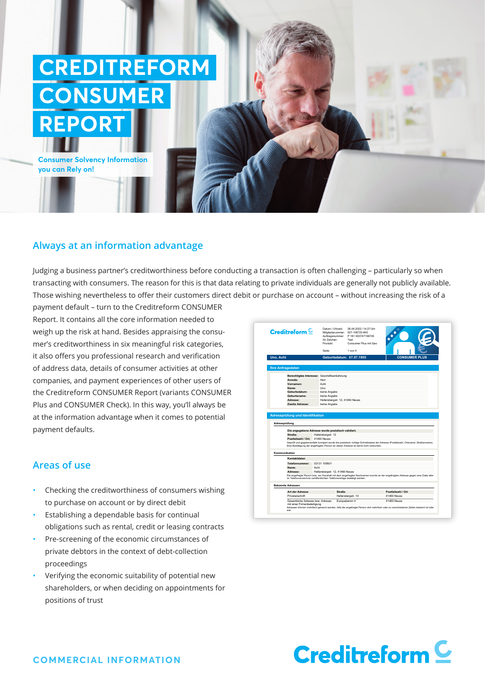# **CREDITREFORM CONSUMER REPORT**

**Consumer Solvency Information you can Rely on!**

## **Always at an information advantage**

Judging a business partner's creditworthiness before conducting a transaction is often challenging – particularly so when transacting with consumers. The reason for this is that data relating to private individuals are generally not publicly available. Those wishing nevertheless to offer their customers direct debit or purchase on account – without increasing the risk of a

payment default – turn to the Creditreform CONSUMER Report. It contains all the core information needed to weigh up the risk at hand. Besides appraising the consumer's creditworthiness in six meaningful risk categories, it also offers you professional research and verification of address data, details of consumer activities at other companies, and payment experiences of other users of the Creditreform CONSUMER Report (variants CONSUMER Plus and CONSUMER Check). In this way, you'll always be at the information advantage when it comes to potential payment defaults.

# **Areas of use**

- Checking the creditworthiness of consumers wishing to purchase on account or by direct debit
- Establishing a dependable basis for continual obligations such as rental, credit or leasing contracts
- Pre-screening of the economic circumstances of private debtors in the context of debt-collection proceedings
- Verifying the economic suitability of potential new shareholders, or when deciding on appointments for positions of trust